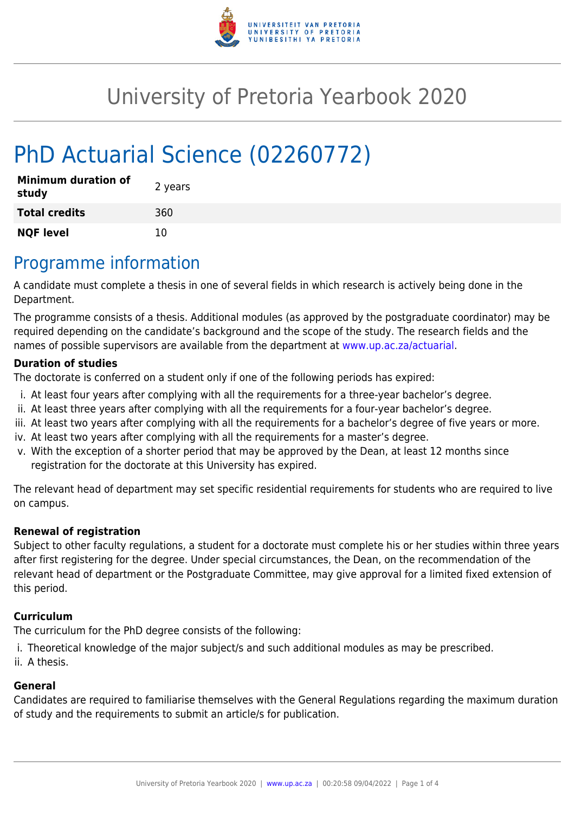

# University of Pretoria Yearbook 2020

# PhD Actuarial Science (02260772)

| <b>Minimum duration of</b><br>study | 2 years |
|-------------------------------------|---------|
| <b>Total credits</b>                | 360     |
| <b>NQF level</b>                    | 10      |

### Programme information

A candidate must complete a thesis in one of several fields in which research is actively being done in the Department.

The programme consists of a thesis. Additional modules (as approved by the postgraduate coordinator) may be required depending on the candidate's background and the scope of the study. The research fields and the names of possible supervisors are available from the department at [www.up.ac.za/actuarial](http://www.up.ac.za/actuarial).

#### **Duration of studies**

The doctorate is conferred on a student only if one of the following periods has expired:

- i. At least four years after complying with all the requirements for a three-year bachelor's degree.
- ii. At least three years after complying with all the requirements for a four-year bachelor's degree.
- iii. At least two years after complying with all the requirements for a bachelor's degree of five years or more.
- iv. At least two years after complying with all the requirements for a master's degree.
- v. With the exception of a shorter period that may be approved by the Dean, at least 12 months since registration for the doctorate at this University has expired.

The relevant head of department may set specific residential requirements for students who are required to live on campus.

#### **Renewal of registration**

Subject to other faculty regulations, a student for a doctorate must complete his or her studies within three years after first registering for the degree. Under special circumstances, the Dean, on the recommendation of the relevant head of department or the Postgraduate Committee, may give approval for a limited fixed extension of this period.

#### **Curriculum**

The curriculum for the PhD degree consists of the following:

i. Theoretical knowledge of the major subject/s and such additional modules as may be prescribed.

ii. A thesis.

#### **General**

Candidates are required to familiarise themselves with the General Regulations regarding the maximum duration of study and the requirements to submit an article/s for publication.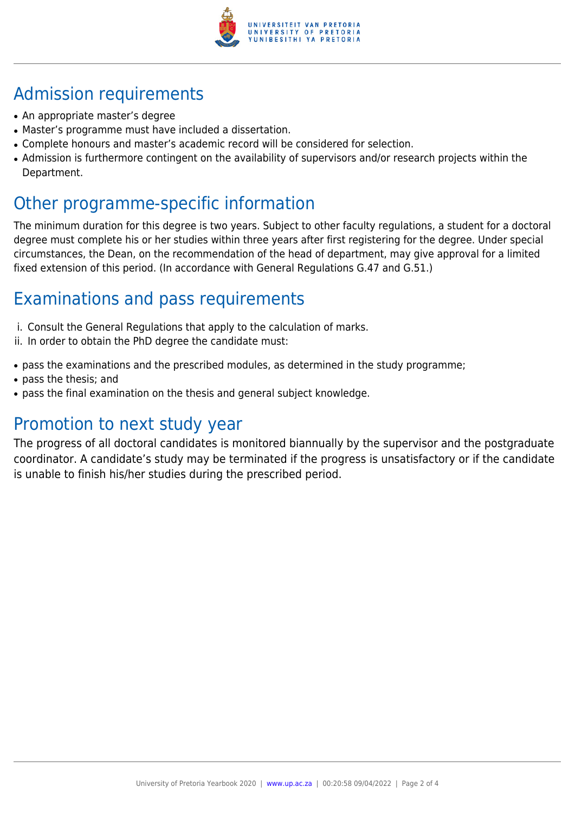

## Admission requirements

- An appropriate master's degree
- Master's programme must have included a dissertation.
- Complete honours and master's academic record will be considered for selection.
- Admission is furthermore contingent on the availability of supervisors and/or research projects within the Department.

### Other programme-specific information

The minimum duration for this degree is two years. Subject to other faculty regulations, a student for a doctoral degree must complete his or her studies within three years after first registering for the degree. Under special circumstances, the Dean, on the recommendation of the head of department, may give approval for a limited fixed extension of this period. (In accordance with General Regulations G.47 and G.51.)

## Examinations and pass requirements

- i. Consult the General Regulations that apply to the calculation of marks.
- ii. In order to obtain the PhD degree the candidate must:
- pass the examinations and the prescribed modules, as determined in the study programme;
- pass the thesis; and
- pass the final examination on the thesis and general subject knowledge.

#### Promotion to next study year

The progress of all doctoral candidates is monitored biannually by the supervisor and the postgraduate coordinator. A candidate's study may be terminated if the progress is unsatisfactory or if the candidate is unable to finish his/her studies during the prescribed period.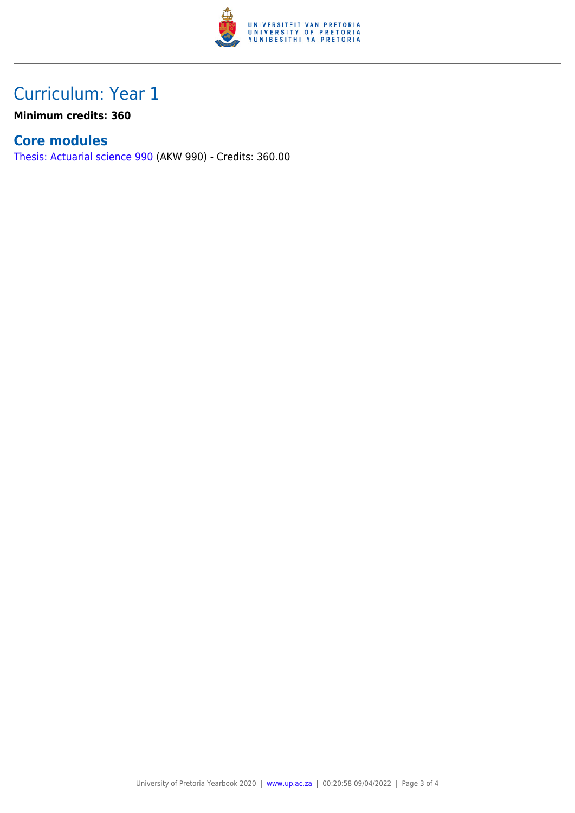

## Curriculum: Year 1

**Minimum credits: 360**

#### **Core modules**

[Thesis: Actuarial science 990](https://www.up.ac.za/faculty-of-education/yearbooks/2020/modules/view/AKW 990) (AKW 990) - Credits: 360.00